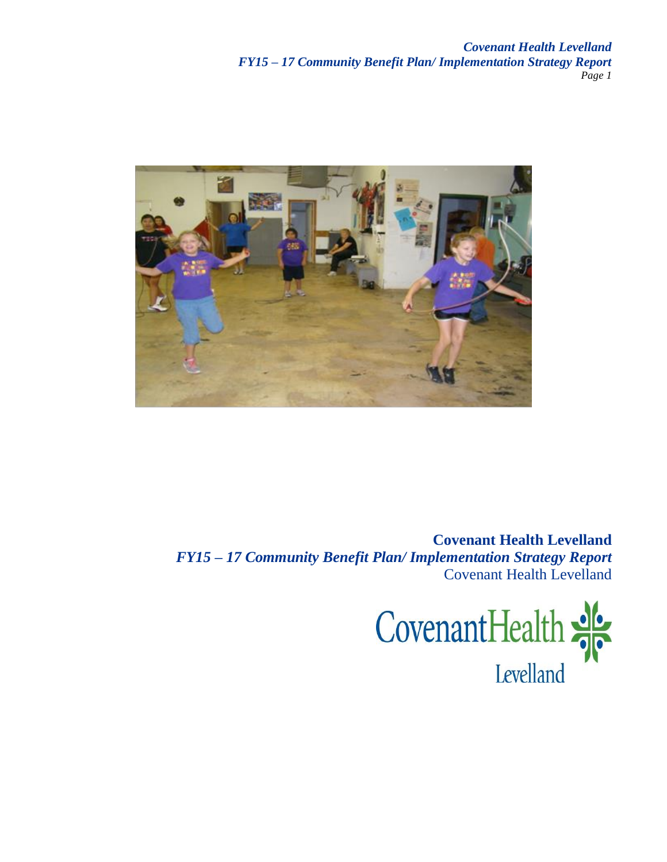*Covenant Health Levelland FY15 – 17 Community Benefit Plan/ Implementation Strategy Report Page 1*



**Covenant Health Levelland** *FY15 – 17 Community Benefit Plan/ Implementation Strategy Report* Covenant Health Levelland

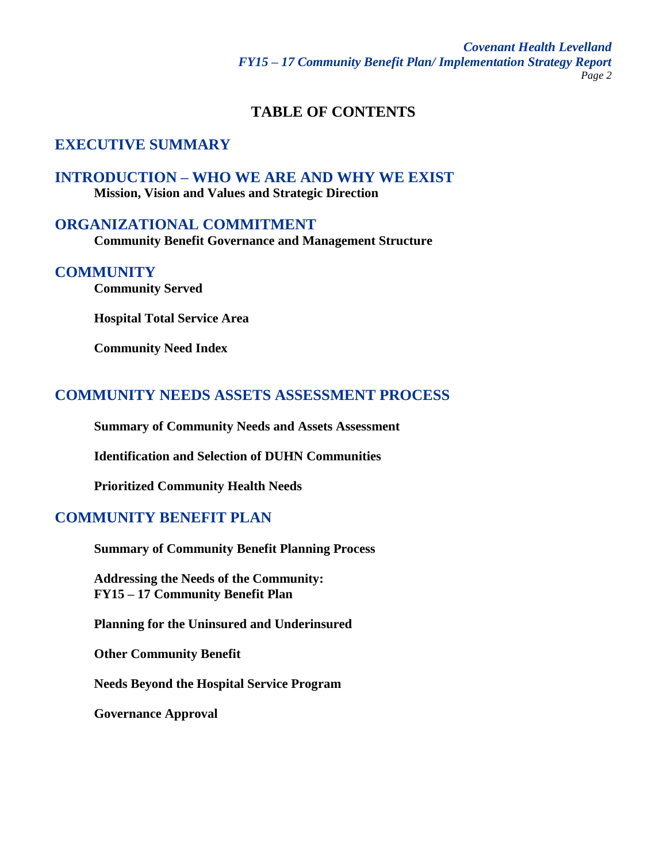## **TABLE OF CONTENTS**

# **EXECUTIVE SUMMARY**

# **INTRODUCTION – WHO WE ARE AND WHY WE EXIST**

**Mission, Vision and Values and Strategic Direction**

## **ORGANIZATIONAL COMMITMENT**

**Community Benefit Governance and Management Structure**

#### **COMMUNITY**

**Community Served**

**Hospital Total Service Area**

**Community Need Index**

## **COMMUNITY NEEDS ASSETS ASSESSMENT PROCESS**

**Summary of Community Needs and Assets Assessment**

**Identification and Selection of DUHN Communities**

**Prioritized Community Health Needs**

## **COMMUNITY BENEFIT PLAN**

**Summary of Community Benefit Planning Process**

**Addressing the Needs of the Community: FY15 – 17 Community Benefit Plan**

**Planning for the Uninsured and Underinsured** 

**Other Community Benefit** 

**Needs Beyond the Hospital Service Program**

**Governance Approval**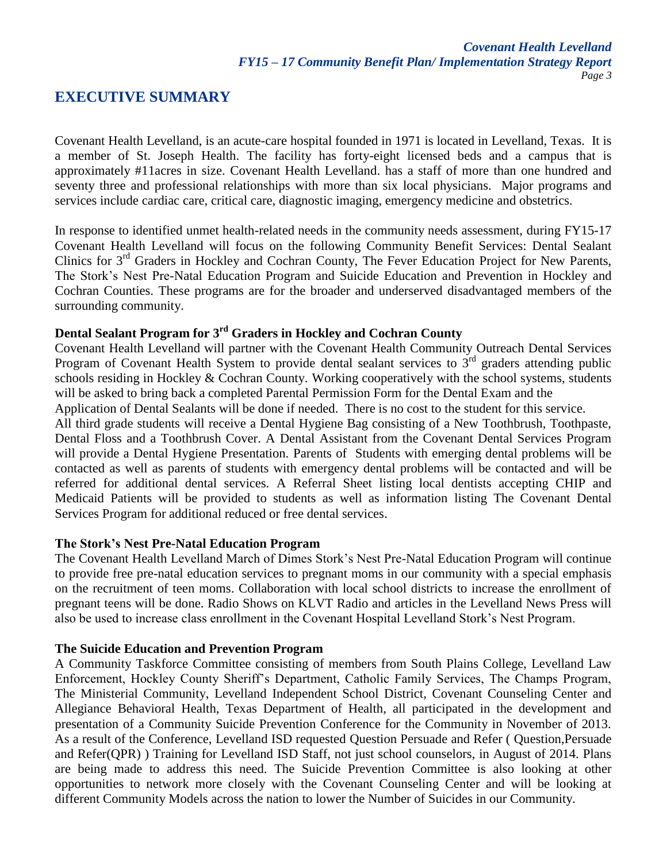## **EXECUTIVE SUMMARY**

Covenant Health Levelland, is an acute-care hospital founded in 1971 is located in Levelland, Texas. It is a member of St. Joseph Health. The facility has forty-eight licensed beds and a campus that is approximately #11acres in size. Covenant Health Levelland. has a staff of more than one hundred and seventy three and professional relationships with more than six local physicians. Major programs and services include cardiac care, critical care, diagnostic imaging, emergency medicine and obstetrics.

In response to identified unmet health-related needs in the community needs assessment, during FY15-17 Covenant Health Levelland will focus on the following Community Benefit Services: Dental Sealant Clinics for 3<sup>rd</sup> Graders in Hockley and Cochran County, The Fever Education Project for New Parents, The Stork's Nest Pre-Natal Education Program and Suicide Education and Prevention in Hockley and Cochran Counties. These programs are for the broader and underserved disadvantaged members of the surrounding community.

# **Dental Sealant Program for 3rd Graders in Hockley and Cochran County**

Covenant Health Levelland will partner with the Covenant Health Community Outreach Dental Services Program of Covenant Health System to provide dental sealant services to  $3<sup>rd</sup>$  graders attending public schools residing in Hockley & Cochran County. Working cooperatively with the school systems, students will be asked to bring back a completed Parental Permission Form for the Dental Exam and the

Application of Dental Sealants will be done if needed. There is no cost to the student for this service.

All third grade students will receive a Dental Hygiene Bag consisting of a New Toothbrush, Toothpaste, Dental Floss and a Toothbrush Cover. A Dental Assistant from the Covenant Dental Services Program will provide a Dental Hygiene Presentation. Parents of Students with emerging dental problems will be contacted as well as parents of students with emergency dental problems will be contacted and will be referred for additional dental services. A Referral Sheet listing local dentists accepting CHIP and Medicaid Patients will be provided to students as well as information listing The Covenant Dental Services Program for additional reduced or free dental services.

#### **The Stork's Nest Pre-Natal Education Program**

The Covenant Health Levelland March of Dimes Stork's Nest Pre-Natal Education Program will continue to provide free pre-natal education services to pregnant moms in our community with a special emphasis on the recruitment of teen moms. Collaboration with local school districts to increase the enrollment of pregnant teens will be done. Radio Shows on KLVT Radio and articles in the Levelland News Press will also be used to increase class enrollment in the Covenant Hospital Levelland Stork's Nest Program.

#### **The Suicide Education and Prevention Program**

A Community Taskforce Committee consisting of members from South Plains College, Levelland Law Enforcement, Hockley County Sheriff's Department, Catholic Family Services, The Champs Program, The Ministerial Community, Levelland Independent School District, Covenant Counseling Center and Allegiance Behavioral Health, Texas Department of Health, all participated in the development and presentation of a Community Suicide Prevention Conference for the Community in November of 2013. As a result of the Conference, Levelland ISD requested Question Persuade and Refer ( Question,Persuade and Refer(QPR) ) Training for Levelland ISD Staff, not just school counselors, in August of 2014. Plans are being made to address this need. The Suicide Prevention Committee is also looking at other opportunities to network more closely with the Covenant Counseling Center and will be looking at different Community Models across the nation to lower the Number of Suicides in our Community.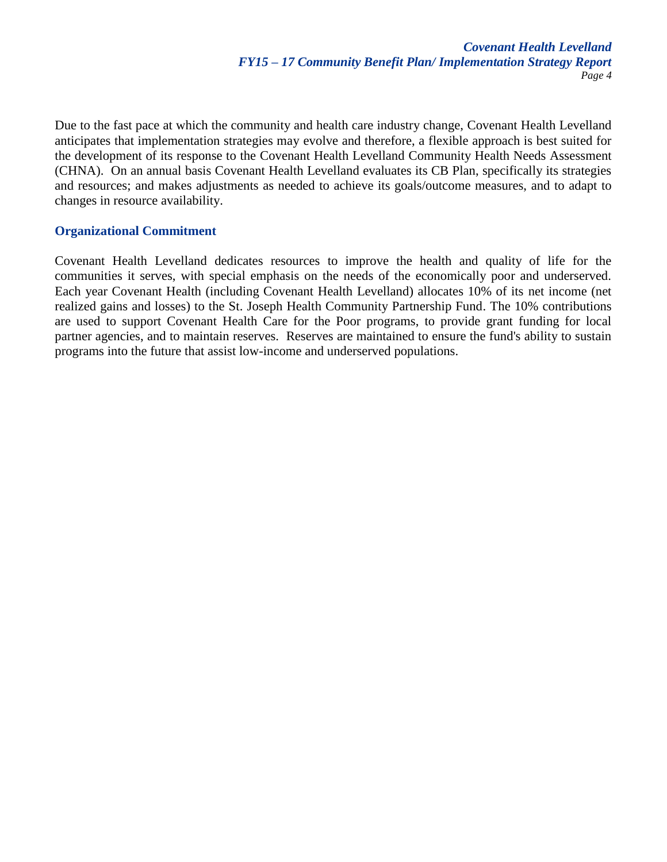Due to the fast pace at which the community and health care industry change, Covenant Health Levelland anticipates that implementation strategies may evolve and therefore, a flexible approach is best suited for the development of its response to the Covenant Health Levelland Community Health Needs Assessment (CHNA). On an annual basis Covenant Health Levelland evaluates its CB Plan, specifically its strategies and resources; and makes adjustments as needed to achieve its goals/outcome measures, and to adapt to changes in resource availability.

#### **Organizational Commitment**

Covenant Health Levelland dedicates resources to improve the health and quality of life for the communities it serves, with special emphasis on the needs of the economically poor and underserved. Each year Covenant Health (including Covenant Health Levelland) allocates 10% of its net income (net realized gains and losses) to the St. Joseph Health Community Partnership Fund. The 10% contributions are used to support Covenant Health Care for the Poor programs, to provide grant funding for local partner agencies, and to maintain reserves. Reserves are maintained to ensure the fund's ability to sustain programs into the future that assist low-income and underserved populations.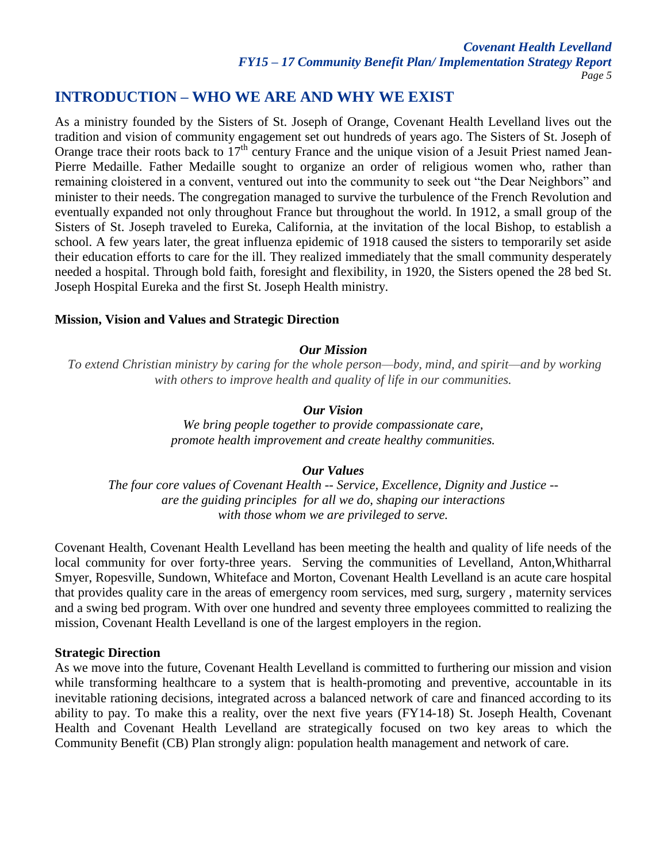## **INTRODUCTION – WHO WE ARE AND WHY WE EXIST**

As a ministry founded by the Sisters of St. Joseph of Orange, Covenant Health Levelland lives out the tradition and vision of community engagement set out hundreds of years ago. The Sisters of St. Joseph of Orange trace their roots back to  $17<sup>th</sup>$  century France and the unique vision of a Jesuit Priest named Jean-Pierre Medaille. Father Medaille sought to organize an order of religious women who, rather than remaining cloistered in a convent, ventured out into the community to seek out "the Dear Neighbors" and minister to their needs. The congregation managed to survive the turbulence of the French Revolution and eventually expanded not only throughout France but throughout the world. In 1912, a small group of the Sisters of St. Joseph traveled to Eureka, California, at the invitation of the local Bishop, to establish a school. A few years later, the great influenza epidemic of 1918 caused the sisters to temporarily set aside their education efforts to care for the ill. They realized immediately that the small community desperately needed a hospital. Through bold faith, foresight and flexibility, in 1920, the Sisters opened the 28 bed St. Joseph Hospital Eureka and the first St. Joseph Health ministry.

#### **Mission, Vision and Values and Strategic Direction**

#### *Our Mission*

*To extend Christian ministry by caring for the whole person—body, mind, and spirit—and by working with others to improve health and quality of life in our communities.*

#### *Our Vision*

*We bring people together to provide compassionate care, promote health improvement and create healthy communities.*

### *Our Values*

*The four core values of Covenant Health -- Service, Excellence, Dignity and Justice - are the guiding principles for all we do, shaping our interactions with those whom we are privileged to serve.*

Covenant Health, Covenant Health Levelland has been meeting the health and quality of life needs of the local community for over forty-three years. Serving the communities of Levelland, Anton,Whitharral Smyer, Ropesville, Sundown, Whiteface and Morton, Covenant Health Levelland is an acute care hospital that provides quality care in the areas of emergency room services, med surg, surgery , maternity services and a swing bed program. With over one hundred and seventy three employees committed to realizing the mission, Covenant Health Levelland is one of the largest employers in the region.

#### **Strategic Direction**

As we move into the future, Covenant Health Levelland is committed to furthering our mission and vision while transforming healthcare to a system that is health-promoting and preventive, accountable in its inevitable rationing decisions, integrated across a balanced network of care and financed according to its ability to pay. To make this a reality, over the next five years (FY14-18) St. Joseph Health, Covenant Health and Covenant Health Levelland are strategically focused on two key areas to which the Community Benefit (CB) Plan strongly align: population health management and network of care.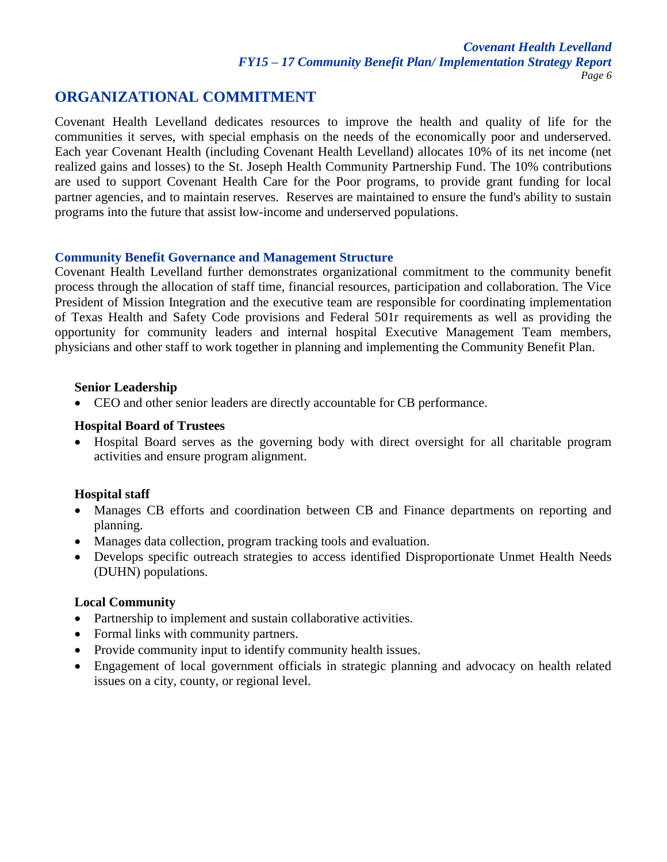## **ORGANIZATIONAL COMMITMENT**

Covenant Health Levelland dedicates resources to improve the health and quality of life for the communities it serves, with special emphasis on the needs of the economically poor and underserved. Each year Covenant Health (including Covenant Health Levelland) allocates 10% of its net income (net realized gains and losses) to the St. Joseph Health Community Partnership Fund. The 10% contributions are used to support Covenant Health Care for the Poor programs, to provide grant funding for local partner agencies, and to maintain reserves. Reserves are maintained to ensure the fund's ability to sustain programs into the future that assist low-income and underserved populations.

#### **Community Benefit Governance and Management Structure**

Covenant Health Levelland further demonstrates organizational commitment to the community benefit process through the allocation of staff time, financial resources, participation and collaboration. The Vice President of Mission Integration and the executive team are responsible for coordinating implementation of Texas Health and Safety Code provisions and Federal 501r requirements as well as providing the opportunity for community leaders and internal hospital Executive Management Team members, physicians and other staff to work together in planning and implementing the Community Benefit Plan.

#### **Senior Leadership**

CEO and other senior leaders are directly accountable for CB performance.

#### **Hospital Board of Trustees**

 Hospital Board serves as the governing body with direct oversight for all charitable program activities and ensure program alignment.

### **Hospital staff**

- Manages CB efforts and coordination between CB and Finance departments on reporting and planning.
- Manages data collection, program tracking tools and evaluation.
- Develops specific outreach strategies to access identified Disproportionate Unmet Health Needs (DUHN) populations.

### **Local Community**

- Partnership to implement and sustain collaborative activities.
- Formal links with community partners.
- Provide community input to identify community health issues.
- Engagement of local government officials in strategic planning and advocacy on health related issues on a city, county, or regional level.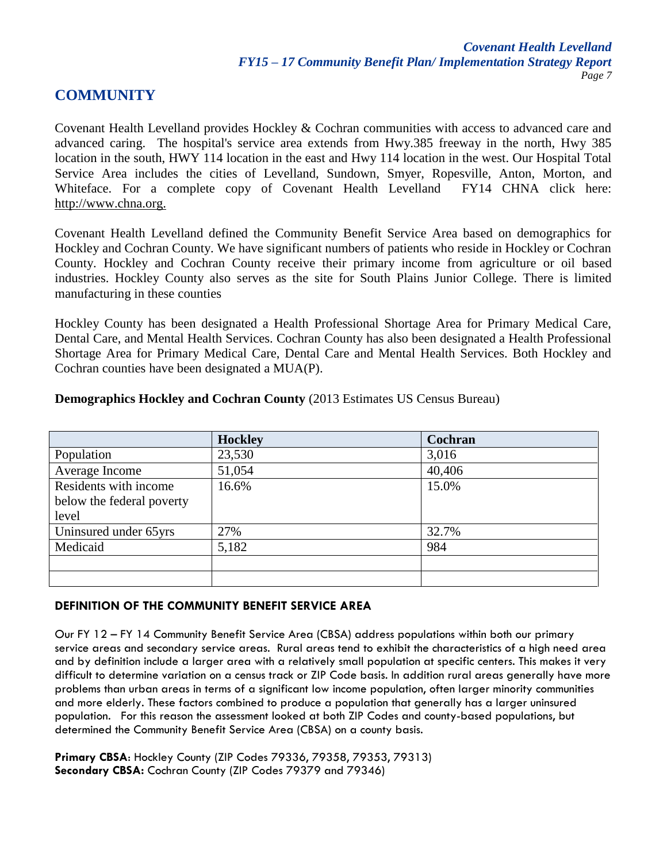## **COMMUNITY**

Covenant Health Levelland provides Hockley & Cochran communities with access to advanced care and advanced caring. The hospital's service area extends from Hwy.385 freeway in the north, Hwy 385 location in the south, HWY 114 location in the east and Hwy 114 location in the west. Our Hospital Total Service Area includes the cities of Levelland, Sundown, Smyer, Ropesville, Anton, Morton, and Whiteface. For a complete copy of Covenant Health Levelland FY14 CHNA click here: [http://www.chna.org.](http://www.chna.org/)

Covenant Health Levelland defined the Community Benefit Service Area based on demographics for Hockley and Cochran County. We have significant numbers of patients who reside in Hockley or Cochran County. Hockley and Cochran County receive their primary income from agriculture or oil based industries. Hockley County also serves as the site for South Plains Junior College. There is limited manufacturing in these counties

Hockley County has been designated a Health Professional Shortage Area for Primary Medical Care, Dental Care, and Mental Health Services. Cochran County has also been designated a Health Professional Shortage Area for Primary Medical Care, Dental Care and Mental Health Services. Both Hockley and Cochran counties have been designated a MUA(P).

|                           | <b>Hockley</b> | Cochran |  |
|---------------------------|----------------|---------|--|
| Population                | 23,530         | 3,016   |  |
| Average Income            | 51,054         | 40,406  |  |
| Residents with income     | 16.6%          | 15.0%   |  |
| below the federal poverty |                |         |  |
| level                     |                |         |  |
| Uninsured under 65yrs     | 27%            | 32.7%   |  |
| Medicaid                  | 5,182          | 984     |  |
|                           |                |         |  |
|                           |                |         |  |

#### **Demographics Hockley and Cochran County** (2013 Estimates US Census Bureau)

#### **DEFINITION OF THE COMMUNITY BENEFIT SERVICE AREA**

Our FY 12 – FY 14 Community Benefit Service Area (CBSA) address populations within both our primary service areas and secondary service areas. Rural areas tend to exhibit the characteristics of a high need area and by definition include a larger area with a relatively small population at specific centers. This makes it very difficult to determine variation on a census track or ZIP Code basis. In addition rural areas generally have more problems than urban areas in terms of a significant low income population, often larger minority communities and more elderly. These factors combined to produce a population that generally has a larger uninsured population. For this reason the assessment looked at both ZIP Codes and county-based populations, but determined the Community Benefit Service Area (CBSA) on a county basis.

**Primary CBSA**: Hockley County (ZIP Codes 79336, 79358, 79353, 79313) **Secondary CBSA:** Cochran County (ZIP Codes 79379 and 79346)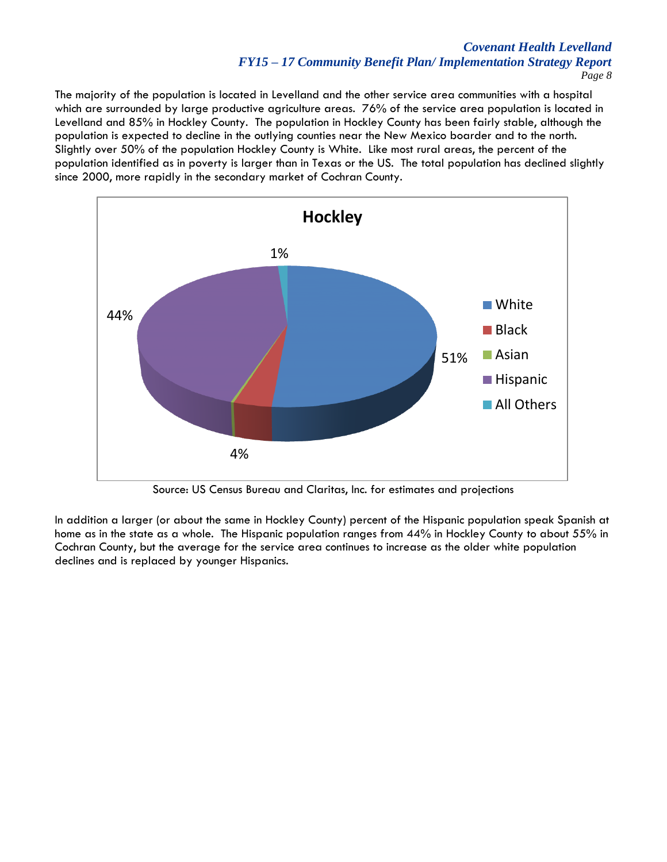#### *Covenant Health Levelland FY15 – 17 Community Benefit Plan/ Implementation Strategy Report Page 8*

The majority of the population is located in Levelland and the other service area communities with a hospital which are surrounded by large productive agriculture areas. 76% of the service area population is located in Levelland and 85% in Hockley County. The population in Hockley County has been fairly stable, although the population is expected to decline in the outlying counties near the New Mexico boarder and to the north. Slightly over 50% of the population Hockley County is White. Like most rural areas, the percent of the population identified as in poverty is larger than in Texas or the US. The total population has declined slightly since 2000, more rapidly in the secondary market of Cochran County.



Source: US Census Bureau and Claritas, Inc. for estimates and projections

In addition a larger (or about the same in Hockley County) percent of the Hispanic population speak Spanish at home as in the state as a whole. The Hispanic population ranges from 44% in Hockley County to about 55% in Cochran County, but the average for the service area continues to increase as the older white population declines and is replaced by younger Hispanics.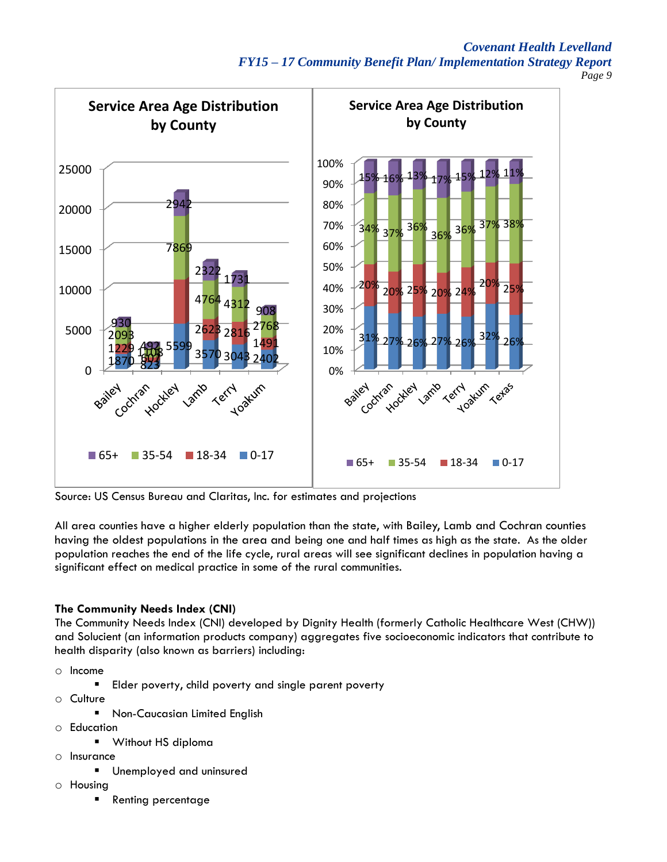*Covenant Health Levelland FY15 – 17 Community Benefit Plan/ Implementation Strategy Report Page 9*



Source: US Census Bureau and Claritas, Inc. for estimates and projections

All area counties have a higher elderly population than the state, with Bailey, Lamb and Cochran counties having the oldest populations in the area and being one and half times as high as the state. As the older population reaches the end of the life cycle, rural areas will see significant declines in population having a significant effect on medical practice in some of the rural communities.

#### **The Community Needs Index (CNI)**

The Community Needs Index (CNI) developed by Dignity Health (formerly Catholic Healthcare West (CHW)) and Solucient (an information products company) aggregates five socioeconomic indicators that contribute to health disparity (also known as barriers) including:

- o Income
	- **Elder poverty, child poverty and single parent poverty**
- o Culture
	- **Non-Caucasian Limited English**
- o Education
	- **Without HS diploma**
- o Insurance
	- Unemployed and uninsured
- o Housing
	- Renting percentage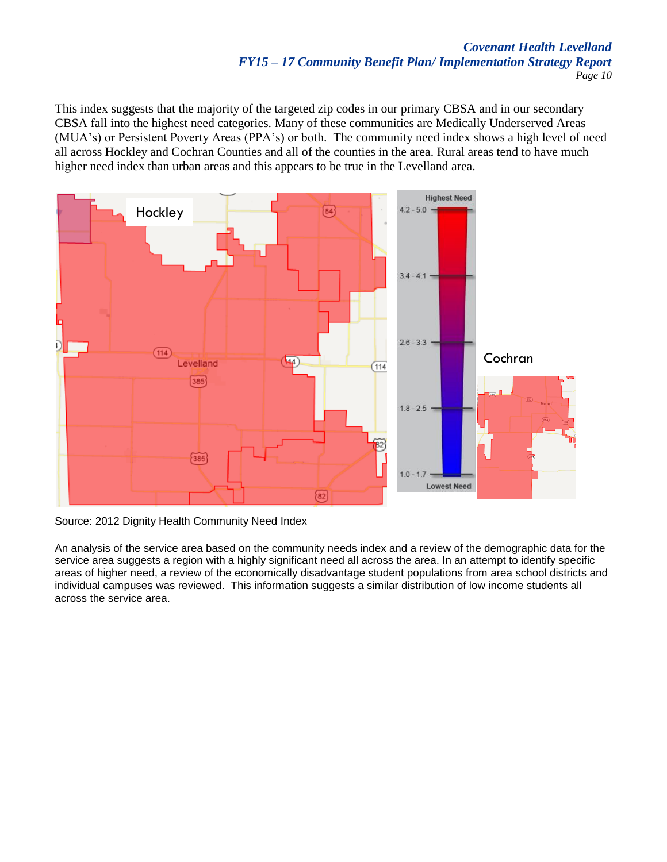This index suggests that the majority of the targeted zip codes in our primary CBSA and in our secondary CBSA fall into the highest need categories. Many of these communities are Medically Underserved Areas (MUA's) or Persistent Poverty Areas (PPA's) or both. The community need index shows a high level of need all across Hockley and Cochran Counties and all of the counties in the area. Rural areas tend to have much higher need index than urban areas and this appears to be true in the Levelland area.



Source: 2012 Dignity Health Community Need Index

An analysis of the service area based on the community needs index and a review of the demographic data for the service area suggests a region with a highly significant need all across the area. In an attempt to identify specific areas of higher need, a review of the economically disadvantage student populations from area school districts and individual campuses was reviewed. This information suggests a similar distribution of low income students all across the service area.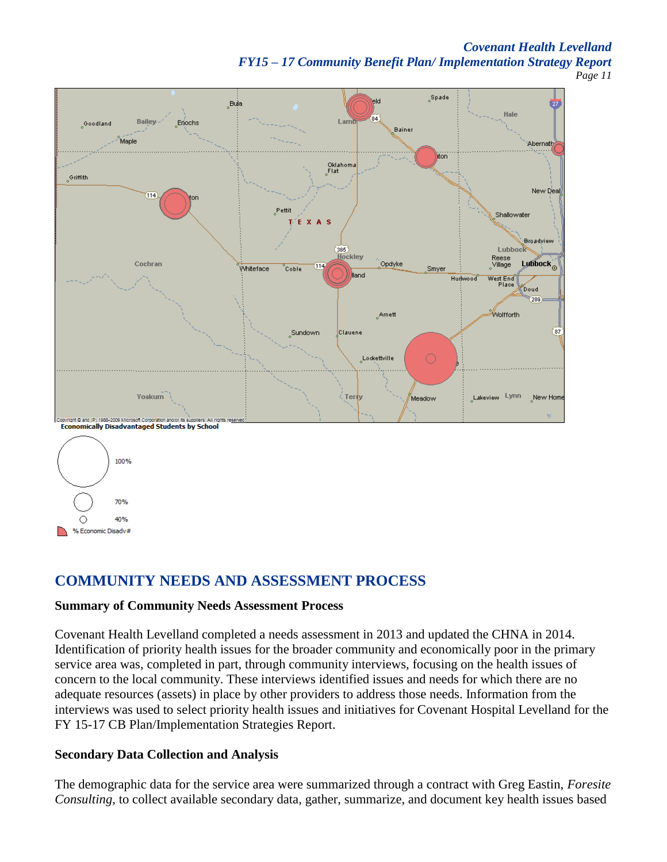#### *Covenant Health Levelland FY15 – 17 Community Benefit Plan/ Implementation Strategy Report Page 11*



70% 40% ∩ % Economic Disadv#

# **COMMUNITY NEEDS AND ASSESSMENT PROCESS**

### **Summary of Community Needs Assessment Process**

Covenant Health Levelland completed a needs assessment in 2013 and updated the CHNA in 2014. Identification of priority health issues for the broader community and economically poor in the primary service area was, completed in part, through community interviews, focusing on the health issues of concern to the local community. These interviews identified issues and needs for which there are no adequate resources (assets) in place by other providers to address those needs. Information from the interviews was used to select priority health issues and initiatives for Covenant Hospital Levelland for the FY 15-17 CB Plan/Implementation Strategies Report.

### **Secondary Data Collection and Analysis**

The demographic data for the service area were summarized through a contract with Greg Eastin, *Foresite Consulting*, to collect available secondary data, gather, summarize, and document key health issues based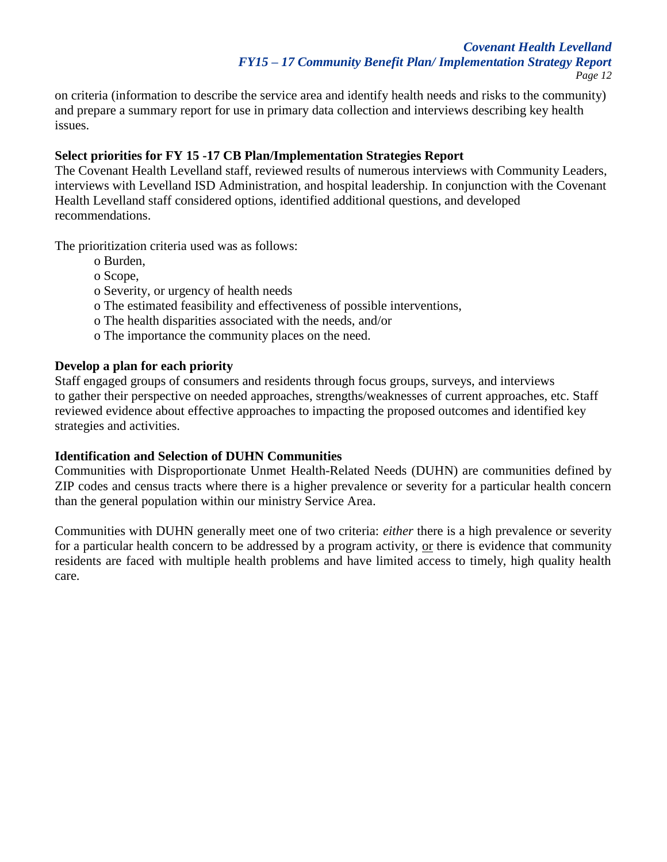on criteria (information to describe the service area and identify health needs and risks to the community) and prepare a summary report for use in primary data collection and interviews describing key health issues.

### **Select priorities for FY 15 -17 CB Plan/Implementation Strategies Report**

The Covenant Health Levelland staff, reviewed results of numerous interviews with Community Leaders, interviews with Levelland ISD Administration, and hospital leadership. In conjunction with the Covenant Health Levelland staff considered options, identified additional questions, and developed recommendations.

The prioritization criteria used was as follows:

- o Burden,
- o Scope,
- o Severity, or urgency of health needs
- o The estimated feasibility and effectiveness of possible interventions,
- o The health disparities associated with the needs, and/or
- o The importance the community places on the need.

#### **Develop a plan for each priority**

Staff engaged groups of consumers and residents through focus groups, surveys, and interviews to gather their perspective on needed approaches, strengths/weaknesses of current approaches, etc. Staff reviewed evidence about effective approaches to impacting the proposed outcomes and identified key strategies and activities.

### **Identification and Selection of DUHN Communities**

Communities with Disproportionate Unmet Health-Related Needs (DUHN) are communities defined by ZIP codes and census tracts where there is a higher prevalence or severity for a particular health concern than the general population within our ministry Service Area.

Communities with DUHN generally meet one of two criteria: *either* there is a high prevalence or severity for a particular health concern to be addressed by a program activity,  $or$  there is evidence that community residents are faced with multiple health problems and have limited access to timely, high quality health care.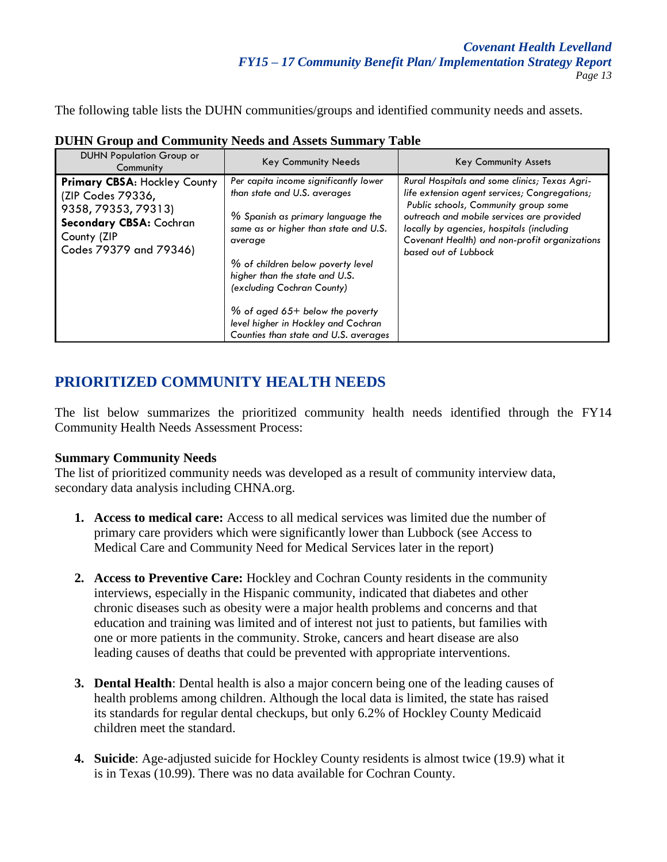The following table lists the DUHN communities/groups and identified community needs and assets.

| <b>DUHN Population Group or</b><br>Community                                                                                                        | <b>Key Community Needs</b>                                                                                                                                                                                                                                                                                                                                                               | <b>Key Community Assets</b>                                                                                                                                                                                                                                                                               |
|-----------------------------------------------------------------------------------------------------------------------------------------------------|------------------------------------------------------------------------------------------------------------------------------------------------------------------------------------------------------------------------------------------------------------------------------------------------------------------------------------------------------------------------------------------|-----------------------------------------------------------------------------------------------------------------------------------------------------------------------------------------------------------------------------------------------------------------------------------------------------------|
| <b>Primary CBSA: Hockley County</b><br>(ZIP Codes 79336,<br>9358, 79353, 79313)<br>Secondary CBSA: Cochran<br>County (ZIP<br>Codes 79379 and 79346) | Per capita income significantly lower<br>than state and U.S. averages<br>% Spanish as primary language the<br>same as or higher than state and U.S.<br>average<br>% of children below poverty level<br>higher than the state and U.S.<br>(excluding Cochran County)<br>$%$ of aged 65+ below the poverty<br>level higher in Hockley and Cochran<br>Counties than state and U.S. averages | Rural Hospitals and some clinics; Texas Agri-<br>life extension agent services; Congregations;<br>Public schools, Community group some<br>outreach and mobile services are provided<br>locally by agencies, hospitals (including<br>Covenant Health) and non-profit organizations<br>based out of Lubbock |

**DUHN Group and Community Needs and Assets Summary Table**

# **PRIORITIZED COMMUNITY HEALTH NEEDS**

The list below summarizes the prioritized community health needs identified through the FY14 Community Health Needs Assessment Process:

### **Summary Community Needs**

The list of prioritized community needs was developed as a result of community interview data, secondary data analysis including CHNA.org.

- **1. Access to medical care:** Access to all medical services was limited due the number of primary care providers which were significantly lower than Lubbock (see Access to Medical Care and Community Need for Medical Services later in the report)
- **2. Access to Preventive Care:** Hockley and Cochran County residents in the community interviews, especially in the Hispanic community, indicated that diabetes and other chronic diseases such as obesity were a major health problems and concerns and that education and training was limited and of interest not just to patients, but families with one or more patients in the community. Stroke, cancers and heart disease are also leading causes of deaths that could be prevented with appropriate interventions.
- **3. Dental Health**: Dental health is also a major concern being one of the leading causes of health problems among children. Although the local data is limited, the state has raised its standards for regular dental checkups, but only 6.2% of Hockley County Medicaid children meet the standard.
- **4. Suicide**: Age‐adjusted suicide for Hockley County residents is almost twice (19.9) what it is in Texas (10.99). There was no data available for Cochran County.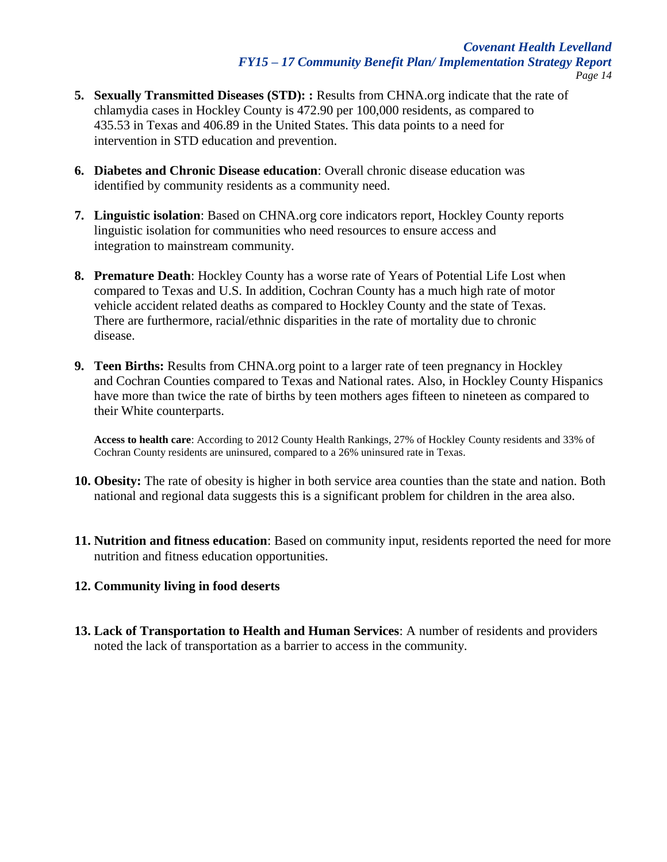- **5. Sexually Transmitted Diseases (STD): :** Results from CHNA.org indicate that the rate of chlamydia cases in Hockley County is 472.90 per 100,000 residents, as compared to 435.53 in Texas and 406.89 in the United States. This data points to a need for intervention in STD education and prevention.
- **6. Diabetes and Chronic Disease education**: Overall chronic disease education was identified by community residents as a community need.
- **7. Linguistic isolation**: Based on CHNA.org core indicators report, Hockley County reports linguistic isolation for communities who need resources to ensure access and integration to mainstream community.
- **8. Premature Death**: Hockley County has a worse rate of Years of Potential Life Lost when compared to Texas and U.S. In addition, Cochran County has a much high rate of motor vehicle accident related deaths as compared to Hockley County and the state of Texas. There are furthermore, racial/ethnic disparities in the rate of mortality due to chronic disease.
- **9. Teen Births:** Results from CHNA.org point to a larger rate of teen pregnancy in Hockley and Cochran Counties compared to Texas and National rates. Also, in Hockley County Hispanics have more than twice the rate of births by teen mothers ages fifteen to nineteen as compared to their White counterparts.

**Access to health care**: According to 2012 County Health Rankings, 27% of Hockley County residents and 33% of Cochran County residents are uninsured, compared to a 26% uninsured rate in Texas.

- **10. Obesity:** The rate of obesity is higher in both service area counties than the state and nation. Both national and regional data suggests this is a significant problem for children in the area also.
- **11. Nutrition and fitness education**: Based on community input, residents reported the need for more nutrition and fitness education opportunities.

### **12. Community living in food deserts**

**13. Lack of Transportation to Health and Human Services**: A number of residents and providers noted the lack of transportation as a barrier to access in the community.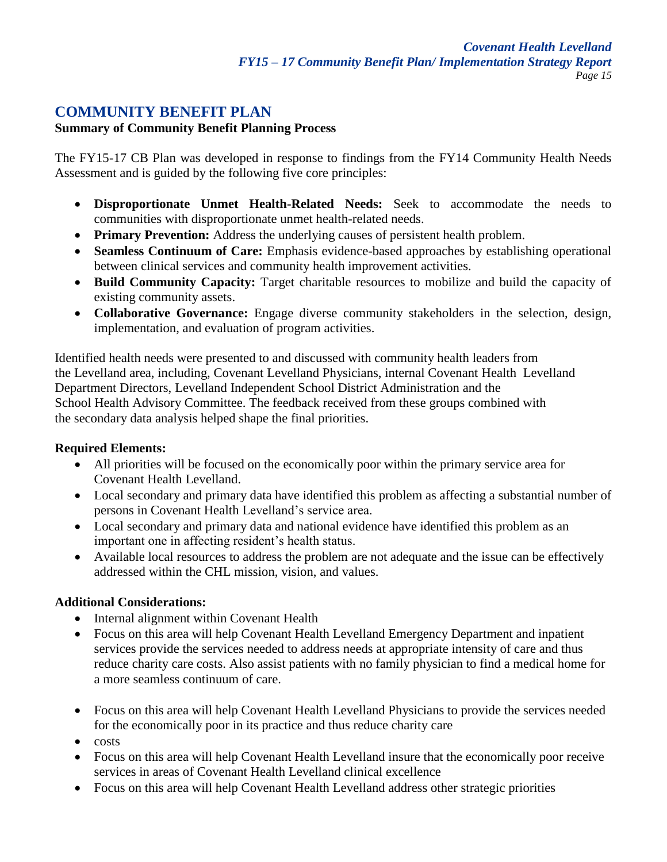## **COMMUNITY BENEFIT PLAN**

### **Summary of Community Benefit Planning Process**

The FY15-17 CB Plan was developed in response to findings from the FY14 Community Health Needs Assessment and is guided by the following five core principles:

- **Disproportionate Unmet Health-Related Needs:** Seek to accommodate the needs to communities with disproportionate unmet health-related needs.
- **Primary Prevention:** Address the underlying causes of persistent health problem.
- **Seamless Continuum of Care:** Emphasis evidence-based approaches by establishing operational between clinical services and community health improvement activities.
- Build Community Capacity: Target charitable resources to mobilize and build the capacity of existing community assets.
- **Collaborative Governance:** Engage diverse community stakeholders in the selection, design, implementation, and evaluation of program activities.

Identified health needs were presented to and discussed with community health leaders from the Levelland area, including, Covenant Levelland Physicians, internal Covenant Health Levelland Department Directors, Levelland Independent School District Administration and the School Health Advisory Committee. The feedback received from these groups combined with the secondary data analysis helped shape the final priorities.

### **Required Elements:**

- All priorities will be focused on the economically poor within the primary service area for Covenant Health Levelland.
- Local secondary and primary data have identified this problem as affecting a substantial number of persons in Covenant Health Levelland's service area.
- Local secondary and primary data and national evidence have identified this problem as an important one in affecting resident's health status.
- Available local resources to address the problem are not adequate and the issue can be effectively addressed within the CHL mission, vision, and values.

## **Additional Considerations:**

- Internal alignment within Covenant Health
- Focus on this area will help Covenant Health Levelland Emergency Department and inpatient services provide the services needed to address needs at appropriate intensity of care and thus reduce charity care costs. Also assist patients with no family physician to find a medical home for a more seamless continuum of care.
- Focus on this area will help Covenant Health Levelland Physicians to provide the services needed for the economically poor in its practice and thus reduce charity care
- $\bullet$  costs
- Focus on this area will help Covenant Health Levelland insure that the economically poor receive services in areas of Covenant Health Levelland clinical excellence
- Focus on this area will help Covenant Health Levelland address other strategic priorities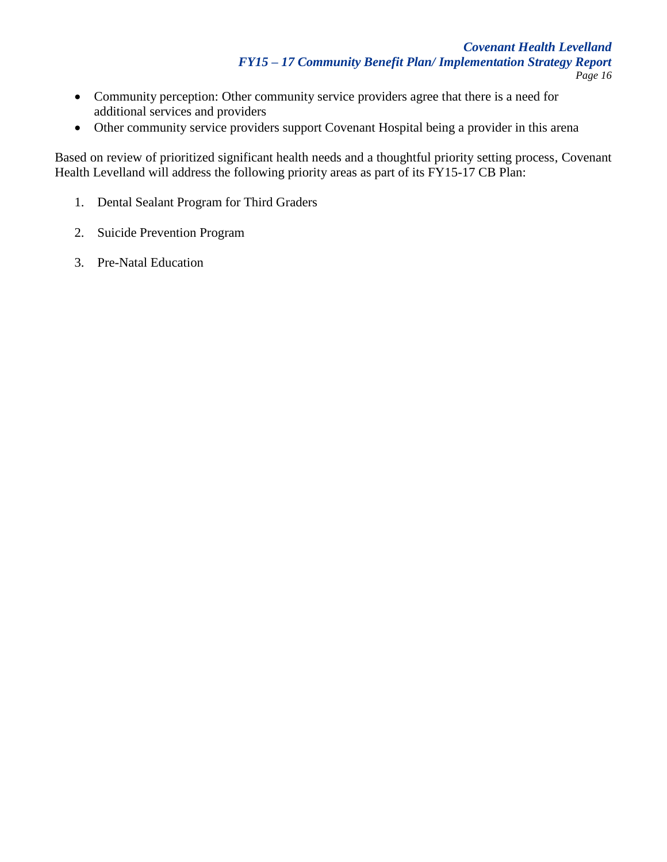- Community perception: Other community service providers agree that there is a need for additional services and providers
- Other community service providers support Covenant Hospital being a provider in this arena

Based on review of prioritized significant health needs and a thoughtful priority setting process, Covenant Health Levelland will address the following priority areas as part of its FY15-17 CB Plan:

- 1. Dental Sealant Program for Third Graders
- 2. Suicide Prevention Program
- 3. Pre-Natal Education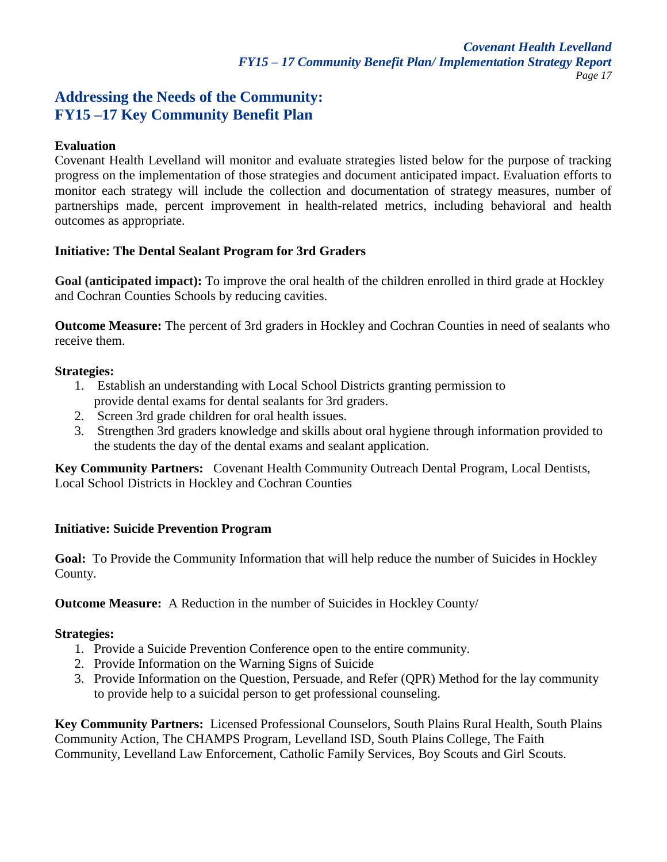## **Addressing the Needs of the Community: FY15 –17 Key Community Benefit Plan**

#### **Evaluation**

Covenant Health Levelland will monitor and evaluate strategies listed below for the purpose of tracking progress on the implementation of those strategies and document anticipated impact. Evaluation efforts to monitor each strategy will include the collection and documentation of strategy measures, number of partnerships made, percent improvement in health-related metrics, including behavioral and health outcomes as appropriate.

#### **Initiative: The Dental Sealant Program for 3rd Graders**

**Goal (anticipated impact):** To improve the oral health of the children enrolled in third grade at Hockley and Cochran Counties Schools by reducing cavities.

**Outcome Measure:** The percent of 3rd graders in Hockley and Cochran Counties in need of sealants who receive them.

#### **Strategies:**

- 1. Establish an understanding with Local School Districts granting permission to provide dental exams for dental sealants for 3rd graders.
- 2. Screen 3rd grade children for oral health issues.
- 3. Strengthen 3rd graders knowledge and skills about oral hygiene through information provided to the students the day of the dental exams and sealant application.

**Key Community Partners:** Covenant Health Community Outreach Dental Program, Local Dentists, Local School Districts in Hockley and Cochran Counties

### **Initiative: Suicide Prevention Program**

**Goal:** To Provide the Community Information that will help reduce the number of Suicides in Hockley County.

**Outcome Measure:** A Reduction in the number of Suicides in Hockley County/

### **Strategies:**

- 1. Provide a Suicide Prevention Conference open to the entire community.
- 2. Provide Information on the Warning Signs of Suicide
- 3. Provide Information on the Question, Persuade, and Refer (QPR) Method for the lay community to provide help to a suicidal person to get professional counseling.

**Key Community Partners:** Licensed Professional Counselors, South Plains Rural Health, South Plains Community Action, The CHAMPS Program, Levelland ISD, South Plains College, The Faith Community, Levelland Law Enforcement, Catholic Family Services, Boy Scouts and Girl Scouts.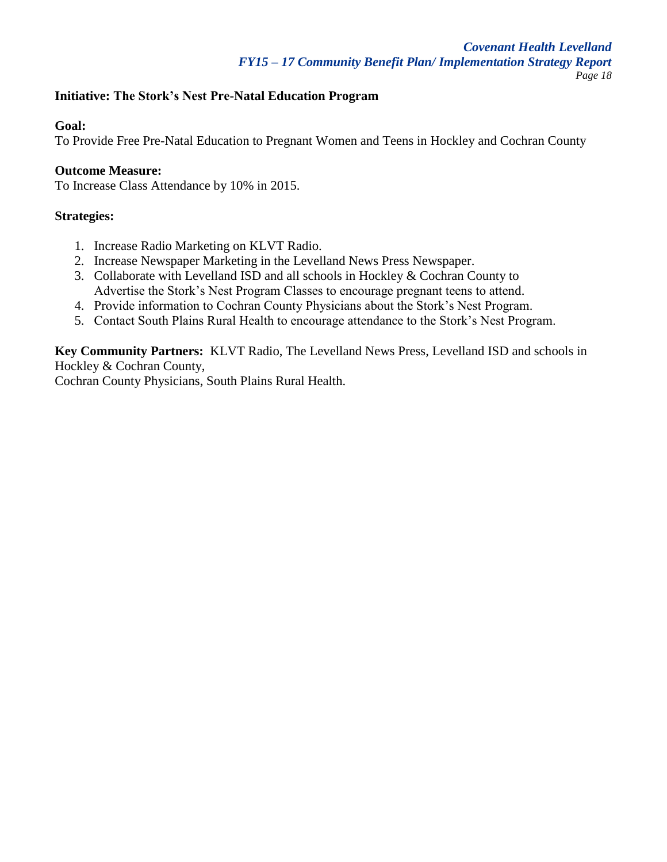### **Initiative: The Stork's Nest Pre-Natal Education Program**

#### **Goal:**

To Provide Free Pre-Natal Education to Pregnant Women and Teens in Hockley and Cochran County

#### **Outcome Measure:**

To Increase Class Attendance by 10% in 2015.

### **Strategies:**

- 1. Increase Radio Marketing on KLVT Radio.
- 2. Increase Newspaper Marketing in the Levelland News Press Newspaper.
- 3. Collaborate with Levelland ISD and all schools in Hockley & Cochran County to Advertise the Stork's Nest Program Classes to encourage pregnant teens to attend.
- 4. Provide information to Cochran County Physicians about the Stork's Nest Program.
- 5. Contact South Plains Rural Health to encourage attendance to the Stork's Nest Program.

**Key Community Partners:** KLVT Radio, The Levelland News Press, Levelland ISD and schools in Hockley & Cochran County,

Cochran County Physicians, South Plains Rural Health.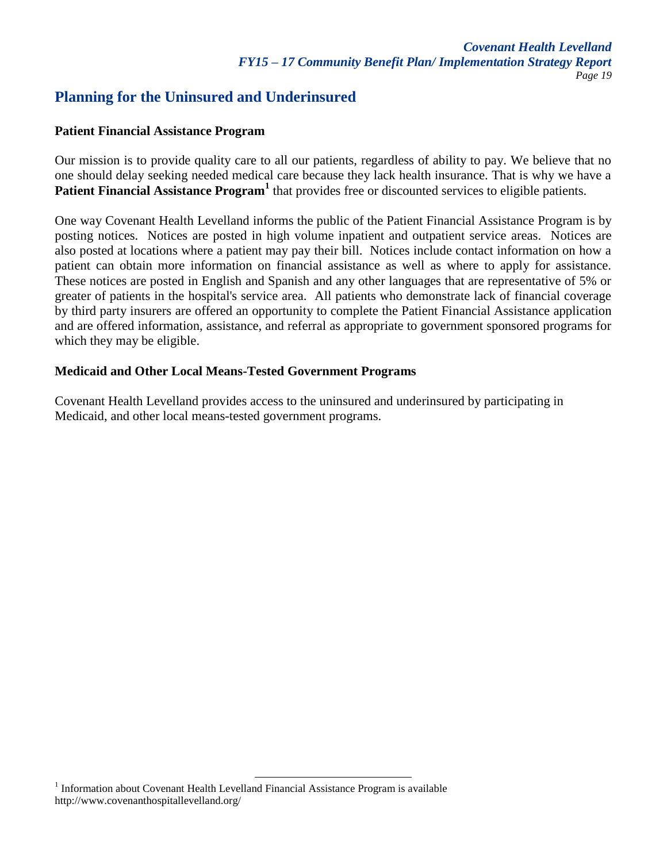# **Planning for the Uninsured and Underinsured**

#### **Patient Financial Assistance Program**

Our mission is to provide quality care to all our patients, regardless of ability to pay. We believe that no one should delay seeking needed medical care because they lack health insurance. That is why we have a Patient Financial Assistance Program<sup>1</sup> that provides free or discounted services to eligible patients.

One way Covenant Health Levelland informs the public of the Patient Financial Assistance Program is by posting notices. Notices are posted in high volume inpatient and outpatient service areas. Notices are also posted at locations where a patient may pay their bill. Notices include contact information on how a patient can obtain more information on financial assistance as well as where to apply for assistance. These notices are posted in English and Spanish and any other languages that are representative of 5% or greater of patients in the hospital's service area. All patients who demonstrate lack of financial coverage by third party insurers are offered an opportunity to complete the Patient Financial Assistance application and are offered information, assistance, and referral as appropriate to government sponsored programs for which they may be eligible.

### **Medicaid and Other Local Means-Tested Government Programs**

Covenant Health Levelland provides access to the uninsured and underinsured by participating in Medicaid, and other local means-tested government programs.

<sup>&</sup>lt;sup>1</sup> Information about Covenant Health Levelland Financial Assistance Program is available http://www.covenanthospitallevelland.org/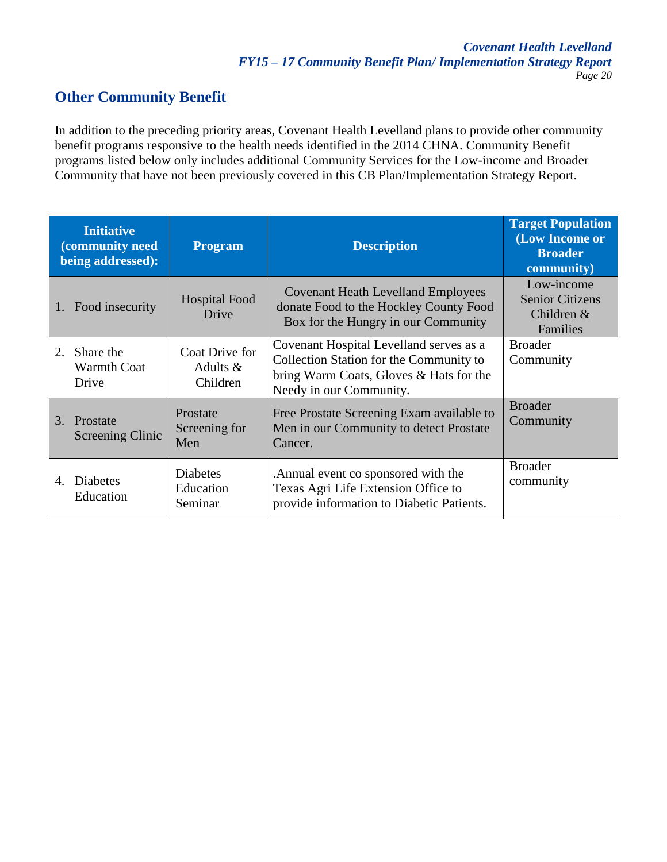# **Other Community Benefit**

In addition to the preceding priority areas, Covenant Health Levelland plans to provide other community benefit programs responsive to the health needs identified in the 2014 CHNA. Community Benefit programs listed below only includes additional Community Services for the Low-income and Broader Community that have not been previously covered in this CB Plan/Implementation Strategy Report.

| <b>Initiative</b><br>(community need<br>being addressed): |                                          | <b>Program</b>                           | <b>Description</b>                                                                                                                                       | <b>Target Population</b><br>(Low Income or<br><b>Broader</b><br>community) |
|-----------------------------------------------------------|------------------------------------------|------------------------------------------|----------------------------------------------------------------------------------------------------------------------------------------------------------|----------------------------------------------------------------------------|
|                                                           | Food insecurity                          | <b>Hospital Food</b><br>Drive            | <b>Covenant Heath Levelland Employees</b><br>donate Food to the Hockley County Food<br>Box for the Hungry in our Community                               | Low-income<br><b>Senior Citizens</b><br>Children &<br>Families             |
| 2.                                                        | Share the<br><b>Warmth Coat</b><br>Drive | Coat Drive for<br>Adults $&$<br>Children | Covenant Hospital Levelland serves as a<br>Collection Station for the Community to<br>bring Warm Coats, Gloves & Hats for the<br>Needy in our Community. | <b>Broader</b><br>Community                                                |
|                                                           | 3. Prostate<br>Screening Clinic          | Prostate<br>Screening for<br>Men         | Free Prostate Screening Exam available to<br>Men in our Community to detect Prostate<br>Cancer.                                                          | <b>Broader</b><br>Community                                                |
| 4.                                                        | Diabetes<br>Education                    | <b>Diabetes</b><br>Education<br>Seminar  | Annual event co sponsored with the<br>Texas Agri Life Extension Office to<br>provide information to Diabetic Patients.                                   | <b>Broader</b><br>community                                                |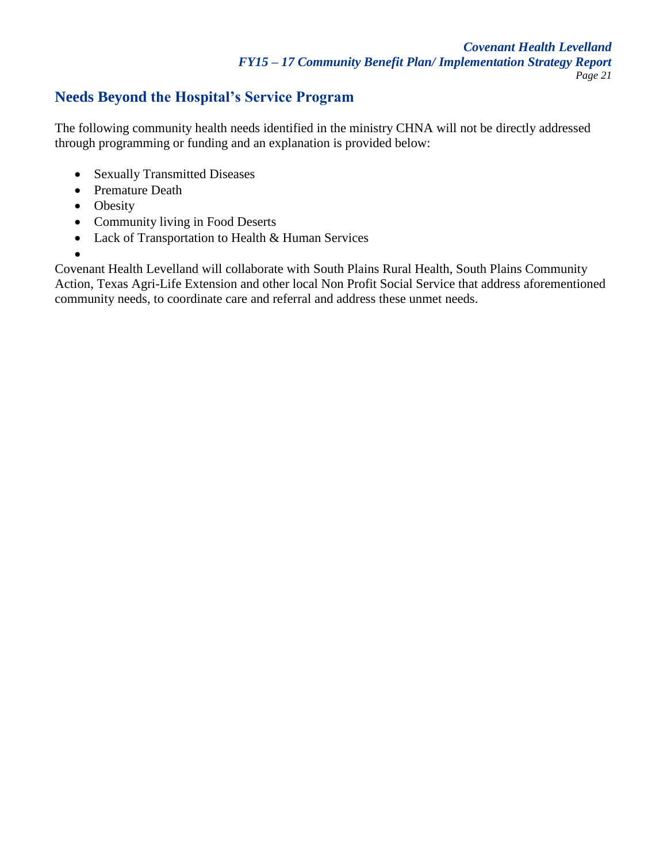# **Needs Beyond the Hospital's Service Program**

The following community health needs identified in the ministry CHNA will not be directly addressed through programming or funding and an explanation is provided below:

- Sexually Transmitted Diseases
- Premature Death
- Obesity
- Community living in Food Deserts
- Lack of Transportation to Health & Human Services
- $\bullet$

Covenant Health Levelland will collaborate with South Plains Rural Health, South Plains Community Action, Texas Agri-Life Extension and other local Non Profit Social Service that address aforementioned community needs, to coordinate care and referral and address these unmet needs.